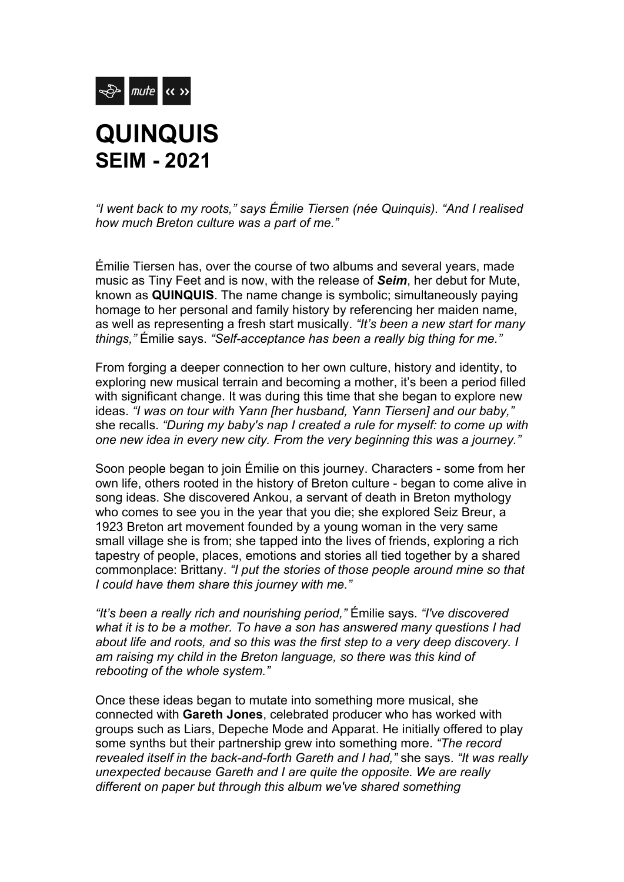

## **QUINQUIS SEIM - 2021**

*"I went back to my roots," says Émilie Tiersen (née Quinquis). "And I realised how much Breton culture was a part of me."* 

Émilie Tiersen has, over the course of two albums and several years, made music as Tiny Feet and is now, with the release of *Seim*, her debut for Mute, known as **QUINQUIS**. The name change is symbolic; simultaneously paying homage to her personal and family history by referencing her maiden name, as well as representing a fresh start musically. *"It's been a new start for many things,"* Émilie says. *"Self-acceptance has been a really big thing for me."*

From forging a deeper connection to her own culture, history and identity, to exploring new musical terrain and becoming a mother, it's been a period filled with significant change. It was during this time that she began to explore new ideas. *"I was on tour with Yann [her husband, Yann Tiersen] and our baby,"* she recalls. *"During my baby's nap I created a rule for myself: to come up with one new idea in every new city. From the very beginning this was a journey."* 

Soon people began to join Émilie on this journey. Characters - some from her own life, others rooted in the history of Breton culture - began to come alive in song ideas. She discovered Ankou, a servant of death in Breton mythology who comes to see you in the year that you die; she explored Seiz Breur, a 1923 Breton art movement founded by a young woman in the very same small village she is from; she tapped into the lives of friends, exploring a rich tapestry of people, places, emotions and stories all tied together by a shared commonplace: Brittany. *"I put the stories of those people around mine so that I could have them share this journey with me."*

*"It's been a really rich and nourishing period,"* Émilie says. *"I've discovered what it is to be a mother. To have a son has answered many questions I had about life and roots, and so this was the first step to a very deep discovery. I am raising my child in the Breton language, so there was this kind of rebooting of the whole system."* 

Once these ideas began to mutate into something more musical, she connected with **Gareth Jones**, celebrated producer who has worked with groups such as Liars, Depeche Mode and Apparat. He initially offered to play some synths but their partnership grew into something more. *"The record revealed itself in the back-and-forth Gareth and I had,"* she says. *"It was really unexpected because Gareth and I are quite the opposite. We are really different on paper but through this album we've shared something*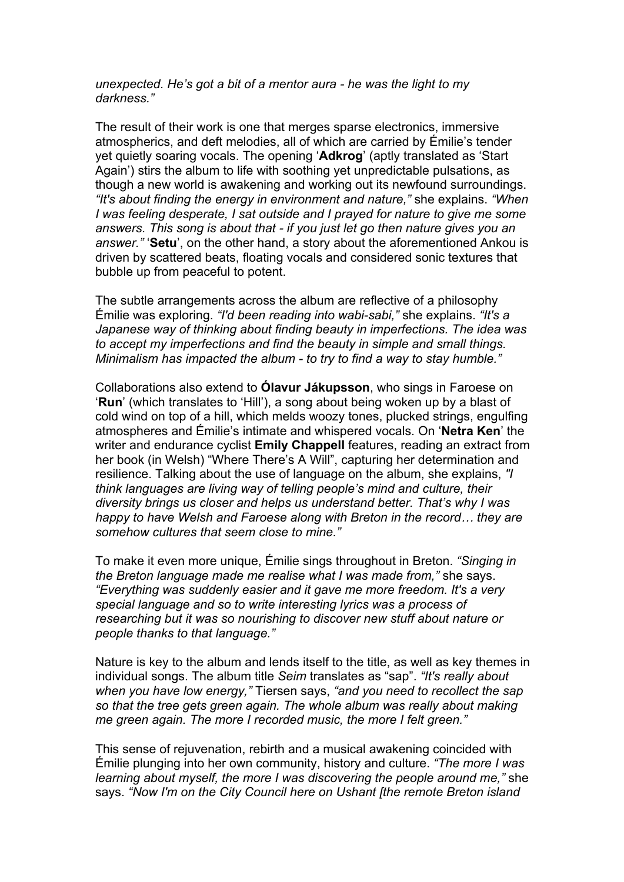*unexpected. He's got a bit of a mentor aura - he was the light to my darkness."* 

The result of their work is one that merges sparse electronics, immersive atmospherics, and deft melodies, all of which are carried by Émilie's tender yet quietly soaring vocals. The opening '**Adkrog**' (aptly translated as 'Start Again') stirs the album to life with soothing yet unpredictable pulsations, as though a new world is awakening and working out its newfound surroundings. *"It's about finding the energy in environment and nature,"* she explains. *"When I was feeling desperate, I sat outside and I prayed for nature to give me some answers. This song is about that - if you just let go then nature gives you an answer."* '**Setu**', on the other hand, a story about the aforementioned Ankou is driven by scattered beats, floating vocals and considered sonic textures that bubble up from peaceful to potent.

The subtle arrangements across the album are reflective of a philosophy Émilie was exploring. *"I'd been reading into wabi-sabi,"* she explains. *"It's a Japanese way of thinking about finding beauty in imperfections. The idea was to accept my imperfections and find the beauty in simple and small things. Minimalism has impacted the album - to try to find a way to stay humble."* 

Collaborations also extend to **Ólavur Jákupsson**, who sings in Faroese on '**Run**' (which translates to 'Hill'), a song about being woken up by a blast of cold wind on top of a hill, which melds woozy tones, plucked strings, engulfing atmospheres and Émilie's intimate and whispered vocals. On '**Netra Ken**' the writer and endurance cyclist **Emily Chappell** features, reading an extract from her book (in Welsh) "Where There's A Will", capturing her determination and resilience. Talking about the use of language on the album, she explains, *"I think languages are living way of telling people's mind and culture, their diversity brings us closer and helps us understand better. That's why I was happy to have Welsh and Faroese along with Breton in the record… they are somehow cultures that seem close to mine."*

To make it even more unique, Émilie sings throughout in Breton. *"Singing in the Breton language made me realise what I was made from,"* she says. *"Everything was suddenly easier and it gave me more freedom. It's a very special language and so to write interesting lyrics was a process of researching but it was so nourishing to discover new stuff about nature or people thanks to that language."* 

Nature is key to the album and lends itself to the title, as well as key themes in individual songs. The album title *Seim* translates as "sap". *"It's really about when you have low energy,"* Tiersen says, *"and you need to recollect the sap so that the tree gets green again. The whole album was really about making me green again. The more I recorded music, the more I felt green."*

This sense of rejuvenation, rebirth and a musical awakening coincided with Émilie plunging into her own community, history and culture. *"The more I was learning about myself, the more I was discovering the people around me,"* she says. *"Now I'm on the City Council here on Ushant [the remote Breton island*